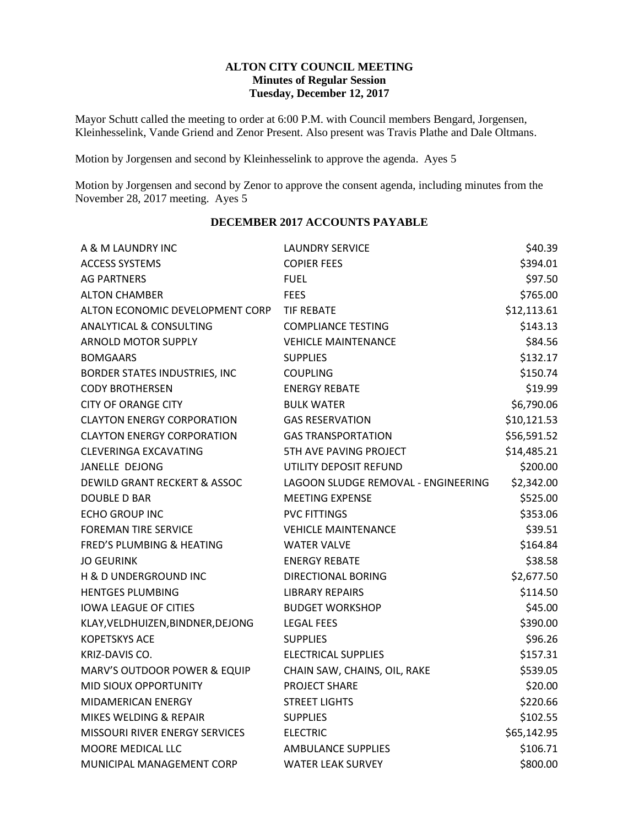#### **ALTON CITY COUNCIL MEETING Minutes of Regular Session Tuesday, December 12, 2017**

Mayor Schutt called the meeting to order at 6:00 P.M. with Council members Bengard, Jorgensen, Kleinhesselink, Vande Griend and Zenor Present. Also present was Travis Plathe and Dale Oltmans.

Motion by Jorgensen and second by Kleinhesselink to approve the agenda. Ayes 5

Motion by Jorgensen and second by Zenor to approve the consent agenda, including minutes from the November 28, 2017 meeting. Ayes 5

| A & M LAUNDRY INC                       | <b>LAUNDRY SERVICE</b>              | \$40.39     |
|-----------------------------------------|-------------------------------------|-------------|
| <b>ACCESS SYSTEMS</b>                   | <b>COPIER FEES</b>                  | \$394.01    |
| <b>AG PARTNERS</b>                      | <b>FUEL</b>                         | \$97.50     |
| <b>ALTON CHAMBER</b>                    | <b>FEES</b>                         | \$765.00    |
| ALTON ECONOMIC DEVELOPMENT CORP         | <b>TIF REBATE</b>                   | \$12,113.61 |
| ANALYTICAL & CONSULTING                 | <b>COMPLIANCE TESTING</b>           | \$143.13    |
| <b>ARNOLD MOTOR SUPPLY</b>              | <b>VEHICLE MAINTENANCE</b>          |             |
| <b>BOMGAARS</b>                         | <b>SUPPLIES</b>                     | \$132.17    |
| BORDER STATES INDUSTRIES, INC           | <b>COUPLING</b>                     | \$150.74    |
| <b>CODY BROTHERSEN</b>                  | <b>ENERGY REBATE</b>                | \$19.99     |
| <b>CITY OF ORANGE CITY</b>              | <b>BULK WATER</b>                   | \$6,790.06  |
| <b>CLAYTON ENERGY CORPORATION</b>       | <b>GAS RESERVATION</b>              | \$10,121.53 |
| <b>CLAYTON ENERGY CORPORATION</b>       | <b>GAS TRANSPORTATION</b>           | \$56,591.52 |
| <b>CLEVERINGA EXCAVATING</b>            | 5TH AVE PAVING PROJECT              | \$14,485.21 |
| JANELLE DEJONG                          | UTILITY DEPOSIT REFUND              | \$200.00    |
| <b>DEWILD GRANT RECKERT &amp; ASSOC</b> | LAGOON SLUDGE REMOVAL - ENGINEERING | \$2,342.00  |
| <b>DOUBLE D BAR</b>                     | <b>MEETING EXPENSE</b>              | \$525.00    |
| <b>ECHO GROUP INC</b>                   | <b>PVC FITTINGS</b>                 | \$353.06    |
| <b>FOREMAN TIRE SERVICE</b>             | <b>VEHICLE MAINTENANCE</b>          | \$39.51     |
| <b>FRED'S PLUMBING &amp; HEATING</b>    | <b>WATER VALVE</b>                  | \$164.84    |
| <b>JO GEURINK</b>                       | <b>ENERGY REBATE</b>                | \$38.58     |
| H & D UNDERGROUND INC                   | DIRECTIONAL BORING                  | \$2,677.50  |
| <b>HENTGES PLUMBING</b>                 | <b>LIBRARY REPAIRS</b>              | \$114.50    |
| <b>IOWA LEAGUE OF CITIES</b>            | <b>BUDGET WORKSHOP</b>              | \$45.00     |
| KLAY, VELDHUIZEN, BINDNER, DEJONG       | <b>LEGAL FEES</b>                   | \$390.00    |
| <b>KOPETSKYS ACE</b>                    | <b>SUPPLIES</b>                     | \$96.26     |
| KRIZ-DAVIS CO.                          | <b>ELECTRICAL SUPPLIES</b>          | \$157.31    |
| MARV'S OUTDOOR POWER & EQUIP            | CHAIN SAW, CHAINS, OIL, RAKE        | \$539.05    |
| MID SIOUX OPPORTUNITY                   | PROJECT SHARE                       | \$20.00     |
| MIDAMERICAN ENERGY                      | <b>STREET LIGHTS</b>                | \$220.66    |
| MIKES WELDING & REPAIR                  | <b>SUPPLIES</b>                     | \$102.55    |
| <b>MISSOURI RIVER ENERGY SERVICES</b>   | <b>ELECTRIC</b>                     | \$65,142.95 |
| MOORE MEDICAL LLC                       | <b>AMBULANCE SUPPLIES</b>           | \$106.71    |
| MUNICIPAL MANAGEMENT CORP               | <b>WATER LEAK SURVEY</b>            | \$800.00    |

#### **DECEMBER 2017 ACCOUNTS PAYABLE**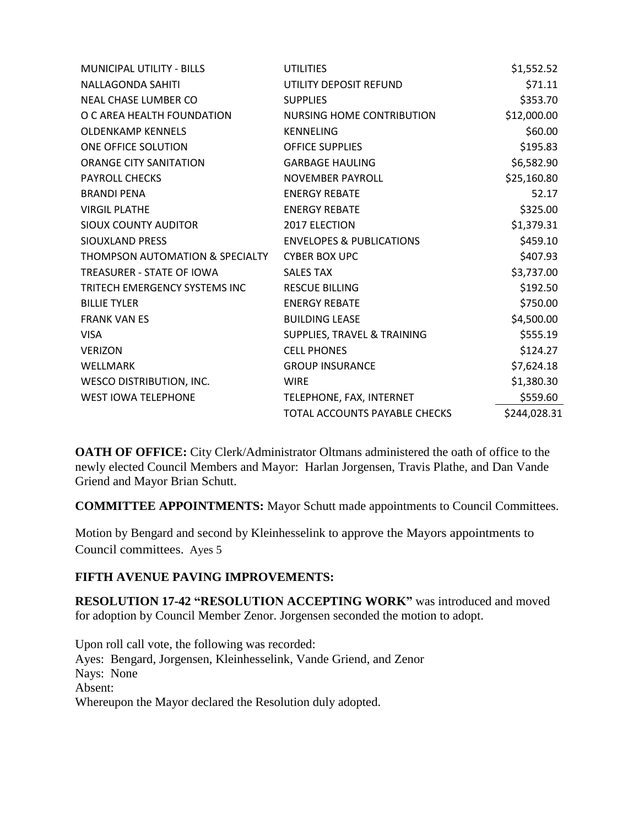| <b>MUNICIPAL UTILITY - BILLS</b> | <b>UTILITIES</b>                    | \$1,552.52   |
|----------------------------------|-------------------------------------|--------------|
| <b>NALLAGONDA SAHITI</b>         | UTILITY DEPOSIT REFUND              | \$71.11      |
| NEAL CHASE LUMBER CO             | <b>SUPPLIES</b>                     | \$353.70     |
| O C AREA HEALTH FOUNDATION       | NURSING HOME CONTRIBUTION           | \$12,000.00  |
| <b>OLDENKAMP KENNELS</b>         | <b>KENNELING</b>                    | \$60.00      |
| ONE OFFICE SOLUTION              | <b>OFFICE SUPPLIES</b>              | \$195.83     |
| <b>ORANGE CITY SANITATION</b>    | <b>GARBAGE HAULING</b>              | \$6,582.90   |
| <b>PAYROLL CHECKS</b>            | NOVEMBER PAYROLL                    | \$25,160.80  |
| <b>BRANDI PENA</b>               | <b>ENERGY REBATE</b>                | 52.17        |
| <b>VIRGIL PLATHE</b>             | <b>ENERGY REBATE</b>                | \$325.00     |
| SIOUX COUNTY AUDITOR             | <b>2017 ELECTION</b>                | \$1,379.31   |
| SIOUXLAND PRESS                  | <b>ENVELOPES &amp; PUBLICATIONS</b> | \$459.10     |
| THOMPSON AUTOMATION & SPECIALTY  | <b>CYBER BOX UPC</b>                | \$407.93     |
| <b>TREASURER - STATE OF IOWA</b> | <b>SALES TAX</b>                    | \$3,737.00   |
| TRITECH EMERGENCY SYSTEMS INC    | <b>RESCUE BILLING</b>               | \$192.50     |
| <b>BILLIE TYLER</b>              | <b>ENERGY REBATE</b>                | \$750.00     |
| <b>FRANK VAN ES</b>              | <b>BUILDING LEASE</b>               | \$4,500.00   |
| <b>VISA</b>                      | SUPPLIES, TRAVEL & TRAINING         | \$555.19     |
| <b>VERIZON</b>                   | <b>CELL PHONES</b>                  | \$124.27     |
| WELLMARK                         | <b>GROUP INSURANCE</b>              | \$7,624.18   |
| <b>WESCO DISTRIBUTION, INC.</b>  | <b>WIRE</b>                         | \$1,380.30   |
| <b>WEST IOWA TELEPHONE</b>       | TELEPHONE, FAX, INTERNET            | \$559.60     |
|                                  | TOTAL ACCOUNTS PAYABLE CHECKS       | \$244,028.31 |

**OATH OF OFFICE:** City Clerk/Administrator Oltmans administered the oath of office to the newly elected Council Members and Mayor: Harlan Jorgensen, Travis Plathe, and Dan Vande Griend and Mayor Brian Schutt.

**COMMITTEE APPOINTMENTS:** Mayor Schutt made appointments to Council Committees.

Motion by Bengard and second by Kleinhesselink to approve the Mayors appointments to Council committees. Ayes 5

# **FIFTH AVENUE PAVING IMPROVEMENTS:**

**RESOLUTION 17-42 "RESOLUTION ACCEPTING WORK"** was introduced and moved for adoption by Council Member Zenor. Jorgensen seconded the motion to adopt.

Upon roll call vote, the following was recorded: Ayes: Bengard, Jorgensen, Kleinhesselink, Vande Griend, and Zenor Nays: None Absent: Whereupon the Mayor declared the Resolution duly adopted.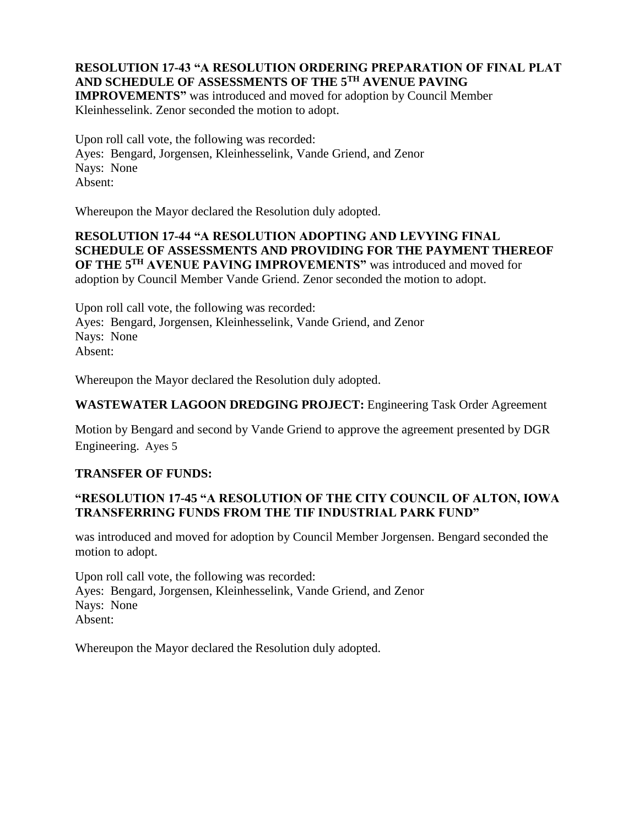# **RESOLUTION 17-43 "A RESOLUTION ORDERING PREPARATION OF FINAL PLAT AND SCHEDULE OF ASSESSMENTS OF THE 5TH AVENUE PAVING**

**IMPROVEMENTS"** was introduced and moved for adoption by Council Member Kleinhesselink. Zenor seconded the motion to adopt.

Upon roll call vote, the following was recorded: Ayes: Bengard, Jorgensen, Kleinhesselink, Vande Griend, and Zenor Nays: None Absent:

Whereupon the Mayor declared the Resolution duly adopted.

## **RESOLUTION 17-44 "A RESOLUTION ADOPTING AND LEVYING FINAL SCHEDULE OF ASSESSMENTS AND PROVIDING FOR THE PAYMENT THEREOF OF THE 5TH AVENUE PAVING IMPROVEMENTS"** was introduced and moved for adoption by Council Member Vande Griend. Zenor seconded the motion to adopt.

Upon roll call vote, the following was recorded: Ayes: Bengard, Jorgensen, Kleinhesselink, Vande Griend, and Zenor Nays: None Absent:

Whereupon the Mayor declared the Resolution duly adopted.

### **WASTEWATER LAGOON DREDGING PROJECT:** Engineering Task Order Agreement

Motion by Bengard and second by Vande Griend to approve the agreement presented by DGR Engineering. Ayes 5

### **TRANSFER OF FUNDS:**

## **"RESOLUTION 17-45 "A RESOLUTION OF THE CITY COUNCIL OF ALTON, IOWA TRANSFERRING FUNDS FROM THE TIF INDUSTRIAL PARK FUND"**

was introduced and moved for adoption by Council Member Jorgensen. Bengard seconded the motion to adopt.

Upon roll call vote, the following was recorded: Ayes: Bengard, Jorgensen, Kleinhesselink, Vande Griend, and Zenor Nays: None Absent:

Whereupon the Mayor declared the Resolution duly adopted.